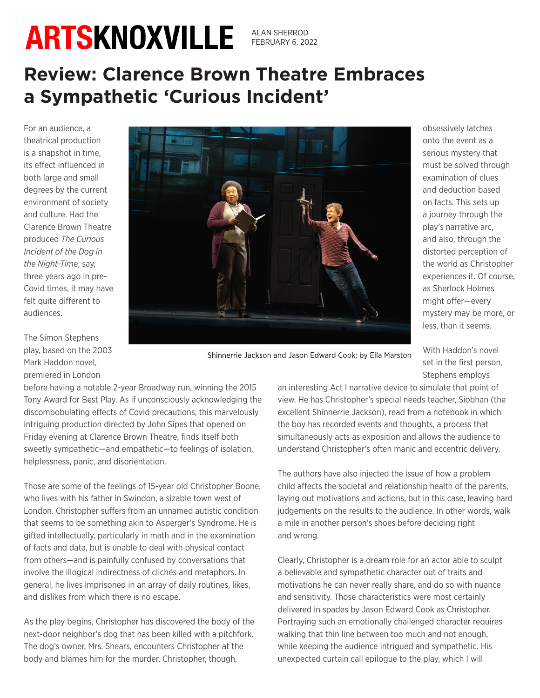ALAN SHERROD FEBRUARY 6, 2022

## **Review: Clarence Brown Theatre Embraces a Sympathetic 'Curious Incident'**

For an audience, a theatrical production is a snapshot in time, its effect influenced in both large and small degrees by the current environment of society and culture. Had the Clarence Brown Theatre produced *The Curious Incident of the Dog in the Night-Time*, say, three years ago in pre-Covid times, it may have felt quite different to audiences.



onto the event as a serious mystery that must be solved through examination of clues and deduction based on facts. This sets up a journey through the play's narrative arc, and also, through the distorted perception of the world as Christopher experiences it. Of course, as Sherlock Holmes might offer—every mystery may be more, or less, than it seems.

obsessively latches

The Simon Stephens play, based on the 2003 Mark Haddon novel, premiered in London

Shinnerrie Jackson and Jason Edward Cook; by Ella Marston

With Haddon's novel set in the first person, Stephens employs

before having a notable 2-year Broadway run, winning the 2015 Tony Award for Best Play. As if unconsciously acknowledging the discombobulating effects of Covid precautions, this marvelously intriguing production directed by John Sipes that opened on Friday evening at Clarence Brown Theatre, finds itself both sweetly sympathetic—and empathetic—to feelings of isolation, helplessness, panic, and disorientation.

Those are some of the feelings of 15-year old Christopher Boone, who lives with his father in Swindon, a sizable town west of London. Christopher suffers from an unnamed autistic condition that seems to be something akin to Asperger's Syndrome. He is gifted intellectually, particularly in math and in the examination of facts and data, but is unable to deal with physical contact from others—and is painfully confused by conversations that involve the illogical indirectness of clichés and metaphors. In general, he lives imprisoned in an array of daily routines, likes, and dislikes from which there is no escape.

As the play begins, Christopher has discovered the body of the next-door neighbor's dog that has been killed with a pitchfork. The dog's owner, Mrs. Shears, encounters Christopher at the body and blames him for the murder. Christopher, though,

an interesting Act I narrative device to simulate that point of view. He has Christopher's special needs teacher, Siobhan (the excellent Shinnerrie Jackson), read from a notebook in which the boy has recorded events and thoughts, a process that simultaneously acts as exposition and allows the audience to understand Christopher's often manic and eccentric delivery.

The authors have also injected the issue of how a problem child affects the societal and relationship health of the parents, laying out motivations and actions, but in this case, leaving hard judgements on the results to the audience. In other words, walk a mile in another person's shoes before deciding right and wrong.

Clearly, Christopher is a dream role for an actor able to sculpt a believable and sympathetic character out of traits and motivations he can never really share, and do so with nuance and sensitivity. Those characteristics were most certainly delivered in spades by Jason Edward Cook as Christopher. Portraying such an emotionally challenged character requires walking that thin line between too much and not enough, while keeping the audience intrigued and sympathetic. His unexpected curtain call epilogue to the play, which I will